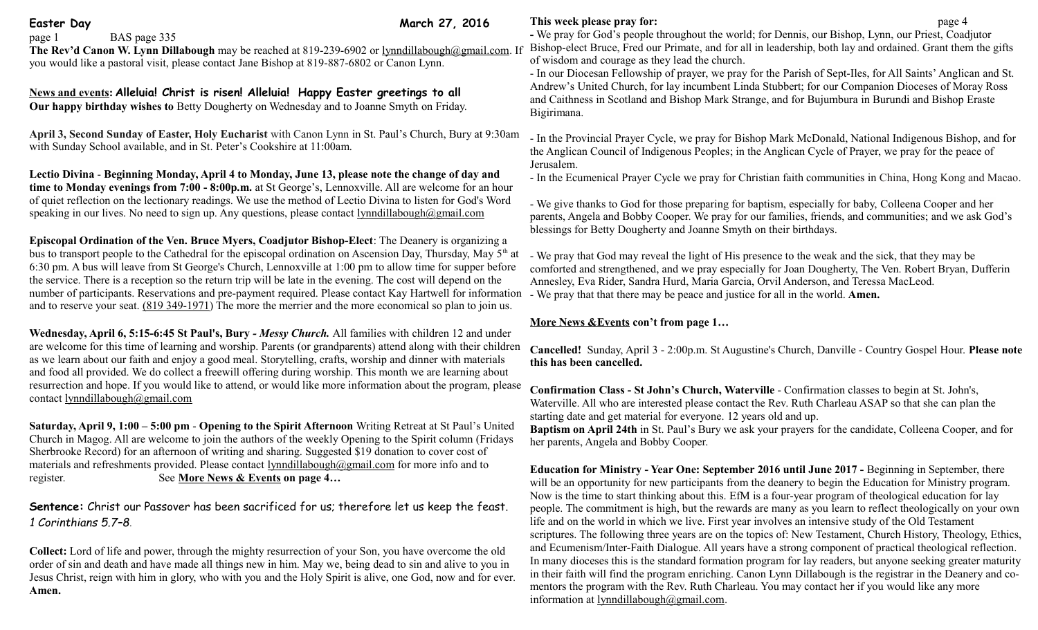Easter Day **March 27, 2016** 

page 1 BAS page 335 **The Rev'd Canon W. Lynn Dillabough** may be reached at 819-239-6902 or [lynndillabough@gmail.com.](mailto:lynndillabough@gmail.com) If you would like a pastoral visit, please contact Jane Bishop at 819-887-6802 or Canon Lynn.

**News and events: Alleluia! Christ is risen! Alleluia! Happy Easter greetings to all Our happy birthday wishes to** Betty Dougherty on Wednesday and to Joanne Smyth on Friday.

**April 3, Second Sunday of Easter, Holy Eucharist** with Canon Lynn in St. Paul's Church, Bury at 9:30am with Sunday School available, and in St. Peter's Cookshire at 11:00am.

**Lectio Divina** - **Beginning Monday, April 4 to Monday, June 13, please note the change of day and time to Monday evenings from 7:00 - 8:00p.m.** at St George's, Lennoxville. All are welcome for an hour of quiet reflection on the lectionary readings. We use the method of Lectio Divina to listen for God's Word speaking in our lives. No need to sign up. Any questions, please contact lynndillabough $\omega$ gmail.com

**Episcopal Ordination of the Ven. Bruce Myers, Coadjutor Bishop-Elect**: The Deanery is organizing a bus to transport people to the Cathedral for the episcopal ordination on Ascension Day, Thursday, May  $5<sup>th</sup>$  at 6:30 pm. A bus will leave from St George's Church, Lennoxville at 1:00 pm to allow time for supper before the service. There is a reception so the return trip will be late in the evening. The cost will depend on the number of participants. Reservations and pre-payment required. Please contact Kay Hartwell for information and to reserve your seat. [\(819 349-1971\)](tel:(819%20349-1971) The more the merrier and the more economical so plan to join us.

**Wednesday, April 6, 5:15-6:45 St Paul's, Bury** *- Messy Church.* All families with children 12 and under are welcome for this time of learning and worship. Parents (or grandparents) attend along with their children as we learn about our faith and enjoy a good meal. Storytelling, crafts, worship and dinner with materials and food all provided. We do collect a freewill offering during worship. This month we are learning about resurrection and hope. If you would like to attend, or would like more information about the program, please contact [lynndillabough@gmail.com](mailto:lynndillabough@gmail.com) 

**Saturday, April 9, 1:00 – 5:00 pm** - **Opening to the Spirit Afternoon** Writing Retreat at St Paul's United Church in Magog. All are welcome to join the authors of the weekly Opening to the Spirit column (Fridays Sherbrooke Record) for an afternoon of writing and sharing. Suggested \$19 donation to cover cost of materials and refreshments provided. Please contact [lynndillabough@gmail.com](https://webmail.ubishops.ca/owa/redir.aspx?SURL=0TDUtmhxNBR-zF--M-US9RkmIL7_pc2nQV-AGspegafVnrL4zk3TCG0AYQBpAGwAdABvADoAbAB5AG4AbgBkAGkAbABsAGEAYgBvAHUAZwBoAEAAZwBtAGEAaQBsAC4AYwBvAG0A&URL=mailto%3Alynndillabough@gmail.com) for more info and to register. See **More News & Events on page 4…**

**Sentence:** Christ our Passover has been sacrificed for us; therefore let us keep the feast. *1 Corinthians 5.7–8*.

**Collect:** Lord of life and power, through the mighty resurrection of your Son, you have overcome the old order of sin and death and have made all things new in him. May we, being dead to sin and alive to you in Jesus Christ, reign with him in glory, who with you and the Holy Spirit is alive, one God, now and for ever. **Amen.**

## **This week please pray for: page 4**

**-** We pray for God's people throughout the world; for Dennis, our Bishop, Lynn, our Priest, Coadjutor Bishop-elect Bruce, Fred our Primate, and for all in leadership, both lay and ordained. Grant them the gifts of wisdom and courage as they lead the church.

- In our Diocesan Fellowship of prayer, we pray for the Parish of Sept-Iles, for All Saints' Anglican and St. Andrew's United Church, for lay incumbent Linda Stubbert; for our Companion Dioceses of Moray Ross and Caithness in Scotland and Bishop Mark Strange, and for Bujumbura in Burundi and Bishop Eraste Bigirimana.

- In the Provincial Prayer Cycle, we pray for Bishop Mark McDonald, National Indigenous Bishop, and for the Anglican Council of Indigenous Peoples; in the Anglican Cycle of Prayer, we pray for the peace of Jerusalem.

- In the Ecumenical Prayer Cycle we pray for Christian faith communities in China, Hong Kong and Macao.

- We give thanks to God for those preparing for baptism, especially for baby, Colleena Cooper and her parents, Angela and Bobby Cooper. We pray for our families, friends, and communities; and we ask God's blessings for Betty Dougherty and Joanne Smyth on their birthdays.

- We pray that God may reveal the light of His presence to the weak and the sick, that they may be comforted and strengthened, and we pray especially for Joan Dougherty, The Ven. Robert Bryan, Dufferin Annesley, Eva Rider, Sandra Hurd, Maria Garcia, Orvil Anderson, and Teressa MacLeod. - We pray that that there may be peace and justice for all in the world. **Amen.**

## **More News &Events con't from page 1…**

**Cancelled!** Sunday, April 3 - 2:00p.m. St Augustine's Church, Danville - Country Gospel Hour. **Please note this has been cancelled.**

**Confirmation Class - St John's Church, Waterville** - Confirmation classes to begin at St. John's, Waterville. All who are interested please contact the Rev. Ruth Charleau ASAP so that she can plan the starting date and get material for everyone. 12 years old and up.

**Baptism on April 24th** in St. Paul's Bury we ask your prayers for the candidate, Colleena Cooper, and for her parents, Angela and Bobby Cooper.

**Education for Ministry - Year One: September 2016 until June 2017 -** Beginning in September, there will be an opportunity for new participants from the deanery to begin the Education for Ministry program. Now is the time to start thinking about this. EfM is a four-year program of theological education for lay people. The commitment is high, but the rewards are many as you learn to reflect theologically on your own life and on the world in which we live. First year involves an intensive study of the Old Testament scriptures. The following three years are on the topics of: New Testament, Church History, Theology, Ethics, and Ecumenism/Inter-Faith Dialogue. All years have a strong component of practical theological reflection. In many dioceses this is the standard formation program for lay readers, but anyone seeking greater maturity in their faith will find the program enriching. Canon Lynn Dillabough is the registrar in the Deanery and comentors the program with the Rev. Ruth Charleau. You may contact her if you would like any more information at [lynndillabough@gmail.com.](https://webmail.ubishops.ca/owa/redir.aspx?SURL=hdjYUT7WCUNYqFZijozknMHWJ3aRy6vsqTzrilp56ZtP3_2s-BXTCG0AYQBpAGwAdABvADoAbAB5AG4AbgBkAGkAbABsAGEAYgBvAHUAZwBoAEAAZwBtAGEAaQBsAC4AYwBvAG0A&URL=mailto%3Alynndillabough@gmail.com)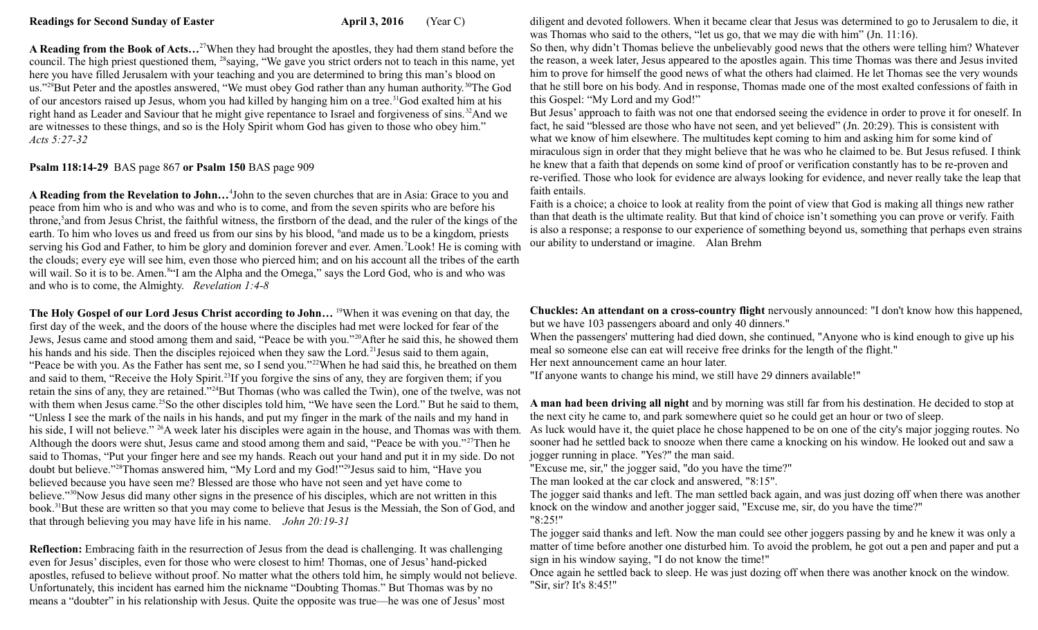**A Reading from the Book of Acts…**<sup>27</sup>When they had brought the apostles, they had them stand before the council. The high priest questioned them, <sup>28</sup>saying, "We gave you strict orders not to teach in this name, yet here you have filled Jerusalem with your teaching and you are determined to bring this man's blood on us."<sup>29</sup>But Peter and the apostles answered, "We must obey God rather than any human authority.<sup>30</sup>The God of our ancestors raised up Jesus, whom you had killed by hanging him on a tree.<sup>31</sup>God exalted him at his right hand as Leader and Saviour that he might give repentance to Israel and forgiveness of sins.<sup>32</sup>And we are witnesses to these things, and so is the Holy Spirit whom God has given to those who obey him." *Acts 5:27-32* 

**Psalm 118:14-29** BAS page 867 **or Psalm 150** BAS page 909

**A Reading from the Revelation to John…**<sup>4</sup> John to the seven churches that are in Asia: Grace to you and peace from him who is and who was and who is to come, and from the seven spirits who are before his throne,<sup>5</sup> and from Jesus Christ, the faithful witness, the firstborn of the dead, and the ruler of the kings of the earth. To him who loves us and freed us from our sins by his blood, <sup>6</sup> and made us to be a kingdom, priests serving his God and Father, to him be glory and dominion forever and ever. Amen.<sup>7</sup>Look! He is coming with the clouds; every eye will see him, even those who pierced him; and on his account all the tribes of the earth will wail. So it is to be. Amen.<sup>84</sup> I am the Alpha and the Omega," says the Lord God, who is and who was and who is to come, the Almighty. *Revelation 1:4-8*

**The Holy Gospel of our Lord Jesus Christ according to John…** <sup>19</sup>When it was evening on that day, the first day of the week, and the doors of the house where the disciples had met were locked for fear of the Jews, Jesus came and stood among them and said, "Peace be with you."<sup>20</sup>After he said this, he showed them his hands and his side. Then the disciples rejoiced when they saw the Lord.<sup>21</sup> Jesus said to them again, "Peace be with you. As the Father has sent me, so I send you."<sup>22</sup>When he had said this, he breathed on them and said to them, "Receive the Holy Spirit.<sup>23</sup>If you forgive the sins of any, they are forgiven them; if you retain the sins of any, they are retained."<sup>24</sup>But Thomas (who was called the Twin), one of the twelve, was not with them when Jesus came.<sup>25</sup>So the other disciples told him, "We have seen the Lord." But he said to them, "Unless I see the mark of the nails in his hands, and put my finger in the mark of the nails and my hand in his side, I will not believe." <sup>26</sup>A week later his disciples were again in the house, and Thomas was with them. Although the doors were shut, Jesus came and stood among them and said, "Peace be with you."<sup>27</sup>Then he said to Thomas, "Put your finger here and see my hands. Reach out your hand and put it in my side. Do not doubt but believe."<sup>28</sup>Thomas answered him, "My Lord and my God!"<sup>29</sup>Jesus said to him, "Have you believed because you have seen me? Blessed are those who have not seen and yet have come to believe."<sup>30</sup>Now Jesus did many other signs in the presence of his disciples, which are not written in this book.<sup>31</sup>But these are written so that you may come to believe that Jesus is the Messiah, the Son of God, and that through believing you may have life in his name. *John 20:19-31*

**Reflection:** Embracing faith in the resurrection of Jesus from the dead is challenging. It was challenging even for Jesus' disciples, even for those who were closest to him! Thomas, one of Jesus' hand-picked apostles, refused to believe without proof. No matter what the others told him, he simply would not believe. Unfortunately, this incident has earned him the nickname "Doubting Thomas." But Thomas was by no means a "doubter" in his relationship with Jesus. Quite the opposite was true—he was one of Jesus' most

diligent and devoted followers. When it became clear that Jesus was determined to go to Jerusalem to die, it was Thomas who said to the others, "let us go, that we may die with him" (Jn. 11:16).

So then, why didn't Thomas believe the unbelievably good news that the others were telling him? Whatever the reason, a week later, Jesus appeared to the apostles again. This time Thomas was there and Jesus invited him to prove for himself the good news of what the others had claimed. He let Thomas see the very wounds that he still bore on his body. And in response, Thomas made one of the most exalted confessions of faith in this Gospel: "My Lord and my God!"

But Jesus' approach to faith was not one that endorsed seeing the evidence in order to prove it for oneself. In fact, he said "blessed are those who have not seen, and yet believed" (Jn. 20:29). This is consistent with what we know of him elsewhere. The multitudes kept coming to him and asking him for some kind of miraculous sign in order that they might believe that he was who he claimed to be. But Jesus refused. I think he knew that a faith that depends on some kind of proof or verification constantly has to be re-proven and re-verified. Those who look for evidence are always looking for evidence, and never really take the leap that faith entails.

Faith is a choice; a choice to look at reality from the point of view that God is making all things new rather than that death is the ultimate reality. But that kind of choice isn't something you can prove or verify. Faith is also a response; a response to our experience of something beyond us, something that perhaps even strains our ability to understand or imagine. Alan Brehm

**Chuckles: An attendant on a cross-country flight** nervously announced: "I don't know how this happened, but we have 103 passengers aboard and only 40 dinners."

When the passengers' muttering had died down, she continued, "Anyone who is kind enough to give up his meal so someone else can eat will receive free drinks for the length of the flight."

Her next announcement came an hour later.

"If anyone wants to change his mind, we still have 29 dinners available!"

**A man had been driving all night** and by morning was still far from his destination. He decided to stop at the next city he came to, and park somewhere quiet so he could get an hour or two of sleep.

As luck would have it, the quiet place he chose happened to be on one of the city's major jogging routes. No sooner had he settled back to snooze when there came a knocking on his window. He looked out and saw a jogger running in place. "Yes?" the man said.

"Excuse me, sir," the jogger said, "do you have the time?"

The man looked at the car clock and answered, "8:15".

The jogger said thanks and left. The man settled back again, and was just dozing off when there was another knock on the window and another jogger said, "Excuse me, sir, do you have the time?"

"8:25!"

The jogger said thanks and left. Now the man could see other joggers passing by and he knew it was only a matter of time before another one disturbed him. To avoid the problem, he got out a pen and paper and put a sign in his window saying, "I do not know the time!"

Once again he settled back to sleep. He was just dozing off when there was another knock on the window. "Sir, sir? It's 8:45!"